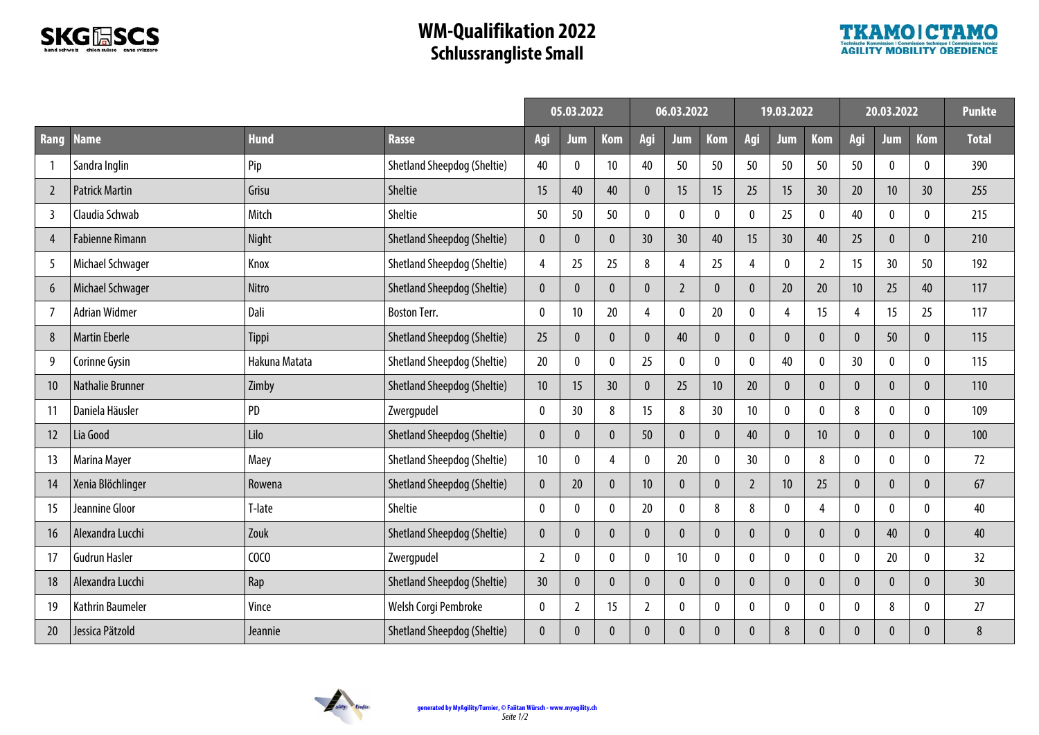

## **WM-Qualifikation 2022 Schlussrangliste Small**



|                |                        |               |                                    | 05.03.2022     |                  |                | 06.03.2022      |                  |                 | 19.03.2022      |                  |                | 20.03.2022      |                  |              | <b>Punkte</b> |
|----------------|------------------------|---------------|------------------------------------|----------------|------------------|----------------|-----------------|------------------|-----------------|-----------------|------------------|----------------|-----------------|------------------|--------------|---------------|
| Rang           | <b>Name</b>            | <b>Hund</b>   | <b>Rasse</b>                       | Aqi            | Jum              | <b>Kom</b>     | Agi             | Jum              | <b>Kom</b>      | Agi             | Jum              | <b>Kom</b>     | Agi             | Jum              | <b>Kom</b>   | <b>Total</b>  |
|                | Sandra Inglin          | Pip           | Shetland Sheepdog (Sheltie)        | 40             | $\boldsymbol{0}$ | 10             | 40              | 50               | 50              | 50              | 50               | 50             | 50              | $\pmb{0}$        | 0            | 390           |
| $\overline{2}$ | <b>Patrick Martin</b>  | Grisu         | Sheltie                            | 15             | 40               | 40             | $\mathbf{0}$    | 15               | 15              | 25              | 15               | 30             | 20              | 10               | 30           | 255           |
| 3              | Claudia Schwab         | Mitch         | Sheltie                            | 50             | 50               | 50             | 0               | $\mathbf{0}$     | $\pmb{0}$       | 0               | 25               | $\pmb{0}$      | 40              | 0                | 0            | 215           |
| 4              | <b>Fabienne Rimann</b> | Night         | <b>Shetland Sheepdog (Sheltie)</b> | $\mathbf{0}$   | $\mathbf{0}$     | $\mathbf{0}$   | 30              | 30               | 40              | 15              | 30               | 40             | 25              | $\mathbf{0}$     | $\pmb{0}$    | 210           |
| 5              | Michael Schwager       | Knox          | Shetland Sheepdog (Sheltie)        | 4              | 25               | 25             | 8               | 4                | 25              | 4               | $\mathbf{0}$     | $\overline{2}$ | 15              | 30               | 50           | 192           |
| 6              | Michael Schwager       | Nitro         | Shetland Sheepdog (Sheltie)        | $\mathbf{0}$   | $\pmb{0}$        | $\pmb{0}$      | $\mathbf{0}$    | $\overline{2}$   | $\pmb{0}$       | $\theta$        | 20               | 20             | 10 <sup>°</sup> | 25               | 40           | 117           |
| 7              | <b>Adrian Widmer</b>   | Dali          | <b>Boston Terr.</b>                | 0              | 10               | 20             | 4               | $\theta$         | 20              | $\mathbf 0$     | 4                | 15             | 4               | 15               | 25           | 117           |
| 8              | <b>Martin Eberle</b>   | Tippi         | Shetland Sheepdog (Sheltie)        | 25             | $\mathbf{0}$     | $\mathbf{0}$   | $\theta$        | 40               | $\pmb{0}$       | $\theta$        | $\theta$         | $\mathbf{0}$   | $\Omega$        | 50               | $\pmb{0}$    | 115           |
| 9              | Corinne Gysin          | Hakuna Matata | <b>Shetland Sheepdog (Sheltie)</b> | 20             | $\mathbf 0$      | 0              | 25              | $\theta$         | $\pmb{0}$       | $\theta$        | 40               | $\pmb{0}$      | 30              | $\theta$         | 0            | 115           |
| 10             | Nathalie Brunner       | Zimby         | <b>Shetland Sheepdog (Sheltie)</b> | 10             | 15               | 30             | $\mathbf{0}$    | 25               | 10              | 20              | $\theta$         | $\bf{0}$       |                 | $\mathbf{0}$     | $\bf{0}$     | 110           |
| 11             | Daniela Häusler        | PD            | Zwergpudel                         | 0              | 30               | 8              | 15              | 8                | 30 <sup>°</sup> | 10 <sup>°</sup> | $\mathbf{0}$     | $\bf{0}$       | 8               | $\mathbf{0}$     | 0            | 109           |
| 12             | Lia Good               | Lilo          | <b>Shetland Sheepdog (Sheltie)</b> | $\mathbf{0}$   | $\boldsymbol{0}$ | $\pmb{0}$      | 50              | $\boldsymbol{0}$ | $\pmb{0}$       | 40              | $\boldsymbol{0}$ | 10             | $\Omega$        | $\boldsymbol{0}$ | $\pmb{0}$    | 100           |
| 13             | Marina Mayer           | Maey          | Shetland Sheepdog (Sheltie)        | 10             | $\theta$         | $\overline{4}$ | $\mathbf{0}$    | 20               | $\mathbf 0$     | 30              | $\theta$         | 8              | $\theta$        | $\theta$         | 0            | 72            |
| 14             | Xenia Blöchlinger      | Rowena        | <b>Shetland Sheepdog (Sheltie)</b> | $\mathbf{0}$   | 20               | $\mathbf{0}$   | 10 <sup>°</sup> | $\theta$         | $\pmb{0}$       | $\overline{2}$  | 10               | 25             | $\Omega$        | $\mathbf{0}$     | $\pmb{0}$    | 67            |
| 15             | Jeannine Gloor         | T-late        | Sheltie                            | 0              | $\mathbf 0$      | $\pmb{0}$      | 20              | $\boldsymbol{0}$ | 8               | 8               | $\mathbf{0}$     | $\overline{4}$ | $\mathbf{0}$    | 0                | $\mathbf 0$  | 40            |
| 16             | Alexandra Lucchi       | Zouk          | Shetland Sheepdog (Sheltie)        | $\mathbf{0}$   | $\boldsymbol{0}$ | $\pmb{0}$      | $\mathbf{0}$    | $\mathbf{0}$     | $\pmb{0}$       | $\theta$        | $\mathbf{0}$     | $\bf{0}$       | $\Omega$        | 40               | 0            | 40            |
| 17             | <b>Gudrun Hasler</b>   | COCO          | Zwergpudel                         | $\overline{2}$ | 0                | $\mathbf 0$    | $\mathbf{0}$    | 10               | $\pmb{0}$       | $\Omega$        | $\mathbf{0}$     | 0              | $\mathbf{0}$    | 20               | 0            | 32            |
| 18             | Alexandra Lucchi       | Rap           | Shetland Sheepdog (Sheltie)        | 30             | $\mathbf{0}$     | $\mathbf{0}$   | $\theta$        | $\theta$         | $\pmb{0}$       |                 | $\theta$         | $\bf{0}$       |                 | $\mathbf{0}$     | 0            | 30            |
| 19             | Kathrin Baumeler       | Vince         | Welsh Corgi Pembroke               | $\mathbf{0}$   | $\overline{2}$   | 15             | $\overline{2}$  | $\boldsymbol{0}$ | $\pmb{0}$       | $\Omega$        | $\mathbf{0}$     | 0              | $\mathbf{0}$    | 8                | 0            | 27            |
| 20             | Jessica Pätzold        | Jeannie       | <b>Shetland Sheepdog (Sheltie)</b> | $\mathbf 0$    | $\mathbf{0}$     | $\pmb{0}$      | $\mathbf{0}$    | $\mathbf{0}$     | $\pmb{0}$       | $\Omega$        | 8                | $\bf{0}$       | $\Omega$        | $\mathbf{0}$     | $\mathbf{0}$ | 8             |